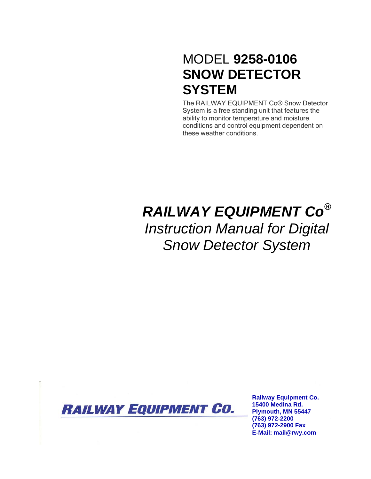## MODEL **9258-0106 SNOW DETECTOR SYSTEM**

The RAILWAY EQUIPMENT Co® Snow Detector System is a free standing unit that features the ability to monitor temperature and moisture conditions and control equipment dependent on these weather conditions.

# *RAILWAY EQUIPMENT Co® Instruction Manual for Digital Snow Detector System*



**Railway Equipment Co. 15400 Medina Rd. Plymouth, MN 55447 (763) 972-2200 (763) 972-2900 Fax E-Mail: mail@rwy.com**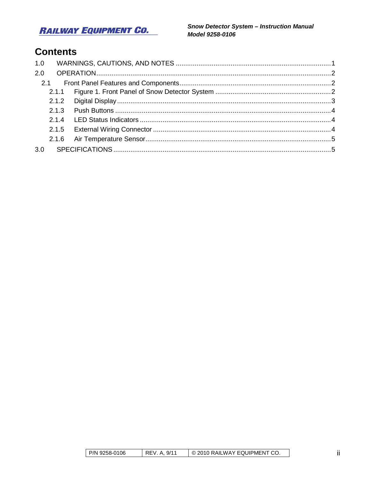## **RAILWAY EQUIPMENT CO.**

Snow Detector System - Instruction Manual Model 9258-0106

## **Contents**

| 1.0 |  |  |
|-----|--|--|
| 2.0 |  |  |
|     |  |  |
|     |  |  |
|     |  |  |
|     |  |  |
|     |  |  |
|     |  |  |
|     |  |  |
| 3.0 |  |  |
|     |  |  |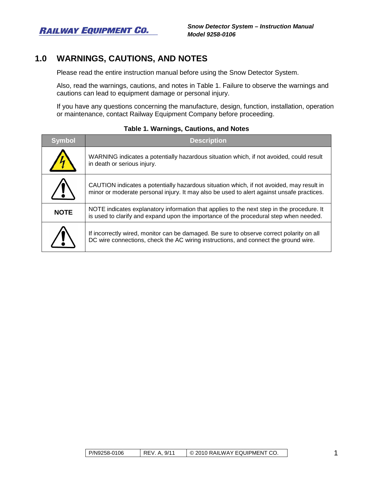**RAILWAY EQUIPMENT CO.** 

## <span id="page-2-0"></span>**1.0 WARNINGS, CAUTIONS, AND NOTES**

Please read the entire instruction manual before using the Snow Detector System.

Also, read the warnings, cautions, and notes in [Table 1.](#page-2-1) Failure to observe the warnings and cautions can lead to equipment damage or personal injury.

If you have any questions concerning the manufacture, design, function, installation, operation or maintenance, contact Railway Equipment Company before proceeding.

<span id="page-2-1"></span>

| <b>Symbol</b> | <b>Description</b>                                                                                                                                                                    |
|---------------|---------------------------------------------------------------------------------------------------------------------------------------------------------------------------------------|
|               | WARNING indicates a potentially hazardous situation which, if not avoided, could result<br>in death or serious injury.                                                                |
|               | CAUTION indicates a potentially hazardous situation which, if not avoided, may result in<br>minor or moderate personal injury. It may also be used to alert against unsafe practices. |
| <b>NOTE</b>   | NOTE indicates explanatory information that applies to the next step in the procedure. It<br>is used to clarify and expand upon the importance of the procedural step when needed.    |
|               | If incorrectly wired, monitor can be damaged. Be sure to observe correct polarity on all<br>DC wire connections, check the AC wiring instructions, and connect the ground wire.       |

#### **Table 1. Warnings, Cautions, and Notes**

| P/N9258-0106<br>REV. A. 9/11 | O 2010 RAILWAY EQUIPMENT CO. |  |
|------------------------------|------------------------------|--|
|------------------------------|------------------------------|--|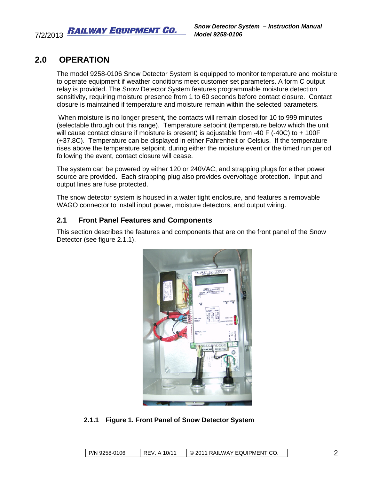7/2/2013 RAILWAY EQUIPMENT CO.

## **2.0 OPERATION**

<span id="page-3-0"></span>The model 9258-0106 Snow Detector System is equipped to monitor temperature and moisture to operate equipment if weather conditions meet customer set parameters. A form C output relay is provided. The Snow Detector System features programmable moisture detection sensitivity, requiring moisture presence from 1 to 60 seconds before contact closure. Contact closure is maintained if temperature and moisture remain within the selected parameters.

When moisture is no longer present, the contacts will remain closed for 10 to 999 minutes (selectable through out this range). Temperature setpoint (temperature below which the unit will cause contact closure if moisture is present) is adjustable from -40 F (-40C) to + 100F (+37.8C). Temperature can be displayed in either Fahrenheit or Celsius. If the temperature rises above the temperature setpoint, during either the moisture event or the timed run period following the event, contact closure will cease.

The system can be powered by either 120 or 240VAC, and strapping plugs for either power source are provided. Each strapping plug also provides overvoltage protection. Input and output lines are fuse protected.

The snow detector system is housed in a water tight enclosure, and features a removable WAGO connector to install input power, moisture detectors, and output wiring.

### <span id="page-3-1"></span>**2.1 Front Panel Features and Components**

This section describes the features and components that are on the front panel of the Snow Detector (see figure 2.1.1).



#### <span id="page-3-2"></span>**2.1.1 Figure 1. Front Panel of Snow Detector System**

| P/N 9258-0106 | 10/11<br>REV<br>A | © 2011 RAILWAY EQUIPMENT CO. |  |
|---------------|-------------------|------------------------------|--|
|---------------|-------------------|------------------------------|--|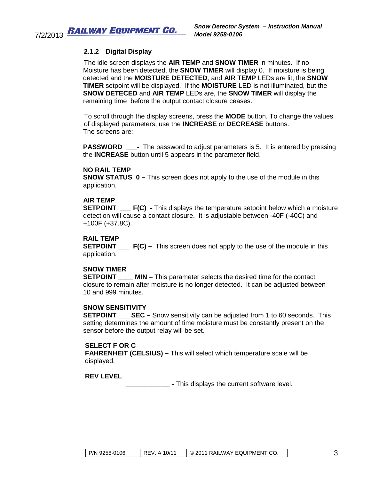#### <span id="page-4-0"></span>**2.1.2 Digital Display**

The idle screen displays the **AIR TEMP** and **SNOW TIMER** in minutes. If no Moisture has been detected, the **SNOW TIMER** will display 0. If moisture is being detected and the **MOISTURE DETECTED**, and **AIR TEMP** LEDs are lit, the **SNOW TIMER** setpoint will be displayed. If the **MOISTURE** LED is not illuminated, but the **SNOW DETECED** and **AIR TEMP** LEDs are, the **SNOW TIMER** will display the remaining time before the output contact closure ceases.

To scroll through the display screens, press the **MODE** button. To change the values of displayed parameters, use the **INCREASE** or **DECREASE** buttons. The screens are:

**PASSWORD** - The password to adjust parameters is 5. It is entered by pressing the **INCREASE** button until 5 appears in the parameter field.

#### **NO RAIL TEMP**

**SNOW STATUS 0 –** This screen does not apply to the use of the module in this application.

#### **AIR TEMP**

**SETPOINT** F(C) - This displays the temperature setpoint below which a moisture detection will cause a contact closure. It is adjustable between -40F (-40C) and +100F (+37.8C).

#### **RAIL TEMP**

**SETPOINT** \_\_\_ **F(C)** – This screen does not apply to the use of the module in this application.

#### **SNOW TIMER**

**SETPOINT \_\_\_\_\_ MIN –** This parameter selects the desired time for the contact closure to remain after moisture is no longer detected. It can be adjusted between 10 and 999 minutes.

#### **SNOW SENSITIVITY**

**SETPOINT SEC –** Snow sensitivity can be adjusted from 1 to 60 seconds. This setting determines the amount of time moisture must be constantly present on the sensor before the output relay will be set.

#### **SELECT F OR C**

 **FAHRENHEIT (CELSIUS) –** This will select which temperature scale will be displayed.

#### **REV LEVEL**

**EXECUTE:** This displays the current software level.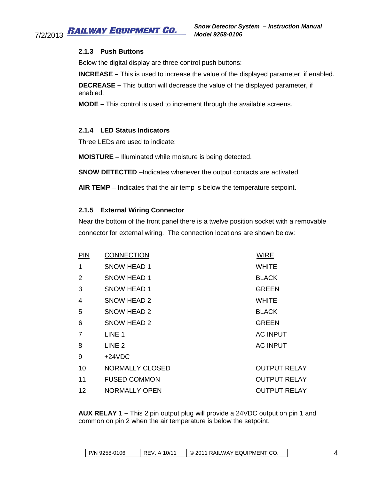#### <span id="page-5-0"></span>**RAILWAY EQUIPMENT CO.** 7/2/2013

#### **2.1.3 Push Buttons**

Below the digital display are three control push buttons:

**INCREASE –** This is used to increase the value of the displayed parameter, if enabled.

**DECREASE –** This button will decrease the value of the displayed parameter, if enabled.

**MODE –** This control is used to increment through the available screens.

#### <span id="page-5-1"></span>**2.1.4 LED Status Indicators**

Three LEDs are used to indicate:

**MOISTURE** – Illuminated while moisture is being detected.

**SNOW DETECTED** –Indicates whenever the output contacts are activated.

**AIR TEMP** – Indicates that the air temp is below the temperature setpoint.

#### <span id="page-5-2"></span>**2.1.5 External Wiring Connector**

Near the bottom of the front panel there is a twelve position socket with a removable connector for external wiring. The connection locations are shown below:

| <b>PIN</b>        | <b>CONNECTION</b>   | <b>WIRE</b>         |
|-------------------|---------------------|---------------------|
| 1                 | SNOW HEAD 1         | <b>WHITE</b>        |
| $\overline{2}$    | SNOW HEAD 1         | <b>BLACK</b>        |
| 3                 | SNOW HEAD 1         | <b>GREEN</b>        |
| 4                 | SNOW HEAD 2         | <b>WHITE</b>        |
| 5                 | SNOW HEAD 2         | <b>BLACK</b>        |
| 6                 | SNOW HEAD 2         | <b>GREEN</b>        |
| $\overline{7}$    | LINE 1              | <b>AC INPUT</b>     |
| 8                 | LINE <sub>2</sub>   | <b>AC INPUT</b>     |
| 9                 | $+24VDC$            |                     |
| 10                | NORMALLY CLOSED     | <b>OUTPUT RELAY</b> |
| 11                | <b>FUSED COMMON</b> | <b>OUTPUT RELAY</b> |
| $12 \overline{ }$ | NORMALLY OPEN       | <b>OUTPUT RELAY</b> |

**AUX RELAY 1 –** This 2 pin output plug will provide a 24VDC output on pin 1 and common on pin 2 when the air temperature is below the setpoint.

| l P/N 9258-0106<br>A 10/11<br>REV. | © 2011 RAILWAY EQUIPMENT CO. |  |
|------------------------------------|------------------------------|--|
|------------------------------------|------------------------------|--|